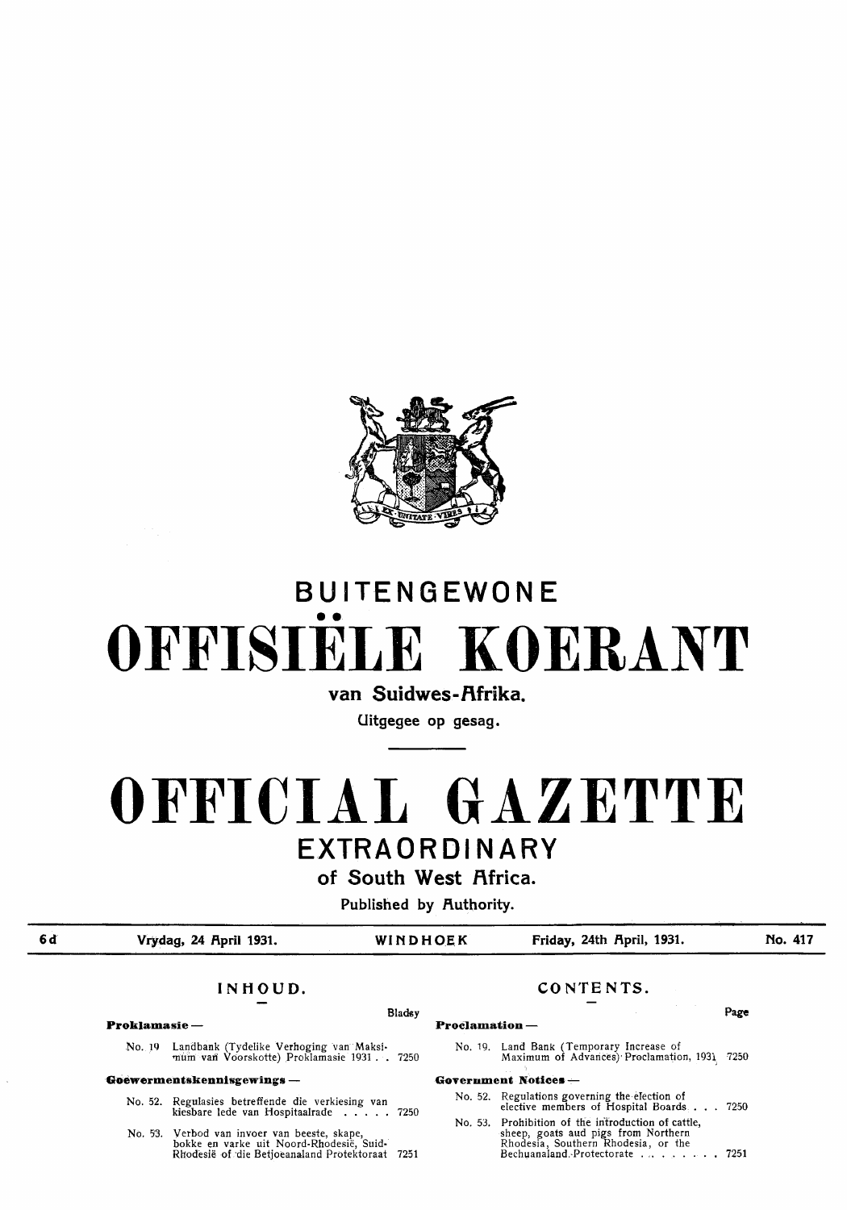

# **BUITENGEWONE**  •• **OFFISIELE KOERANT**

van Suidwes-Afrika.

**Uitgegee op gesag.** 

# **OFFICIAL GAZETTE EXTRA ORDINARY**

of South West Africa.

**Published by Authority.** 

**6d** 

**Vrydag, 24 Rpril 1931. WINDHOE.K Friday, 24th Rpril, 1931.** 

**No. 417** 

No. 1Q Landbank (Tydelike Verhoging van Maksimum van Voorskotte) Proklamasie 1931 . . 7250

#### **Goewermentskennisgewings** -

- No. 52. Regulasies betreffende die verkiesing van kiesbare lede van Hospitaalrade . . . . 7250
- No. 53. Vetbod van invoer van beeste, skape, bokke en varke uit Noord-Rhodesie, Suid-Rhodesie of ·die Betjoeanaland Protektoraat 7251

## **INHOUD. CONTENTS.**

#### Bladsy **Page Proklamasie - Proclamation** -

No. 19. Land Bank (Temporary Increase of Maximum of Advarices)' Proclamation, 1931, 7250

#### **Government Notices** --

- No. 52. Regulations governing the election of elective members of Hospital Boards  $\ldots$  7250
- No. 53. Prohibition of the introduction of cattle, sheep, goats aud pigs from Northern Rhodesia, Southern Rhodesia, or the Bechuanaland.-Protectorate . . . . . . . . 7251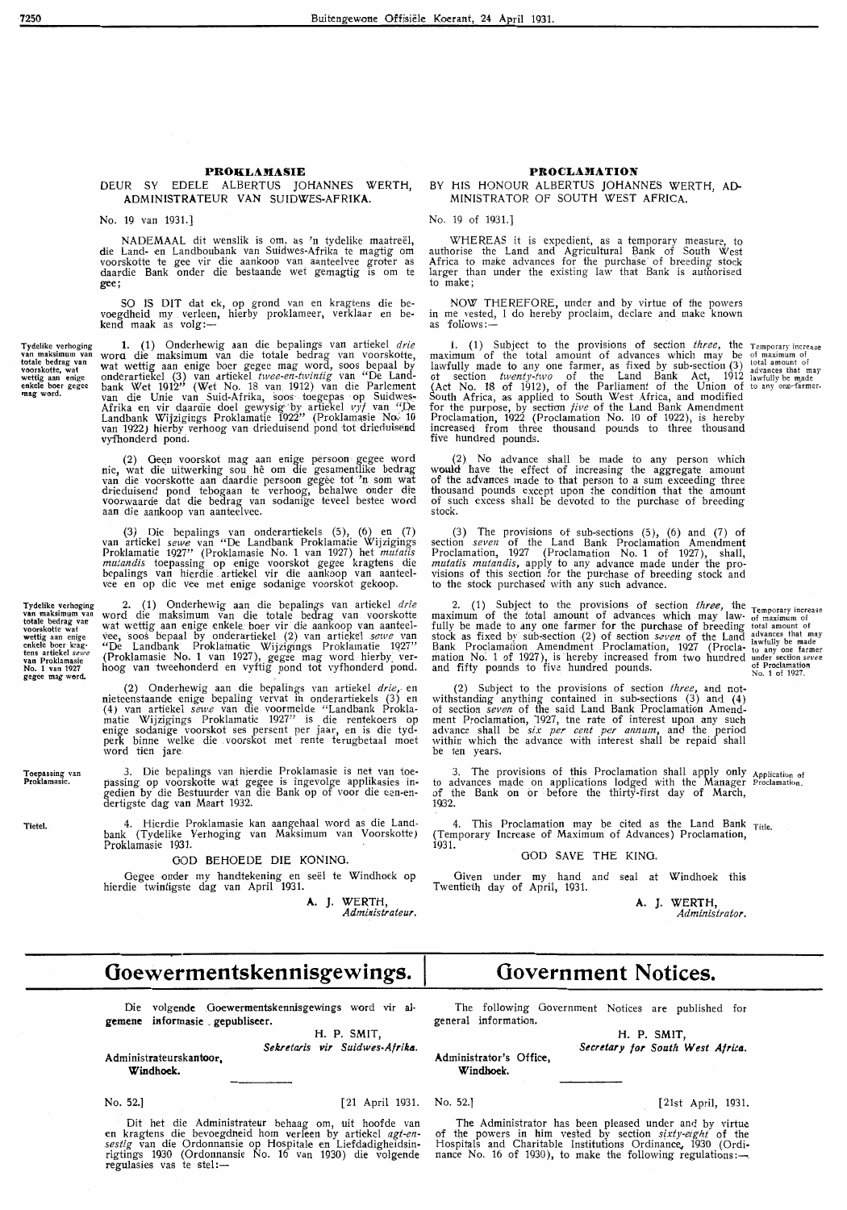### DEUR SY EOELE ALBERTUS JOHANNES WERTH, **AOMINISTRATEUR VAN SUIDWES-AFRIKA.**

No. 19 van 1931.]

NADEMAAL dit wenslik is om, as 'n tydelike maatreel, die Land- en Landboubank van Suidwes-Afrika te magtig om voorskotte te gee vir die aankoop van aanteelvee groter as daardie Bank onder die bestaande wet gemagtig is om te gee;

SO IS DIT dat ek, op grond van en kragtens die bevoegdheid my verleen, hierby proklameer, verklaar en be-<br>kend maak as volg:—

Tydelike verhoging<br>van maksimum van<br>totale bedrag van voorskotte, wat<br>wettig aan enige<br>enkele boer gegee **mag** word.

Toepassing van<br>Proklamasie.

Tietel.

1. (1) Onderhewig aan die be palings van artiekel *drie*  worct die maksimum van die totale bedrag van voorskotte, wat wettig aan enige boer gegee mag word, soos bepaal by onderartiekel (3) van artiekel *twee-en-twintig* van "De Landbank Wet 1912" (Wet No. 18 van 1912) van die Parlement<br>van die Unie van Suid-Afrika, sops toegepas op Suidwes-<br>Afrika en vir daardie doel gewysig by artiekel *vyf* van "De Landbank Wijzigings Proklamatie 1922'' (Proklamasie No-:10<br>van 1922) hierby verhoog van drieduisend pond tot drieduisend vyfhonderd pond.

(2) Geen voorskot mag aan enige persoon gegee word nie, wat die uitwerking sou hê om die gesamentlike bedrag van die voorskotte aan daardie persoon gegee tot. 'n som wat drieduisend pond tebogaan te verhoog, behalwe onder die voorwaarde dat die bedrag van sodanige teveel bestee wo*r*d<br>aan die aankoop van aanteelvee.

(3) Die be palings van onderartiekels (5 ), (6) en (7) van artiekel *sewe* van "De Landbank Proklamatie Wijzigings Proklamatie 1927" (Proklamasie No. 1 van 1927) het *mutatis mutandis* toepassing op enige voorskot gegee kragtens die bepalings van hierdie artiekel vir die aankoop van aanteel-<br>vee en op die vee met enige sodanige voorskot gekoop.

Tydelike verhoging<br>van maksimum van<br>totale bedrag van<br>voorskotte wat<br>wettig aan enige enkele boer krag-<br>tens artiekel sewe van Proklamasie No. **<sup>1</sup>**van 1927 gegee mag word. 2. (1) Onderhewig aan die bepalings van artiekel *drie*  word die maksimum van die totale bedrag van voorskotte wat wettig aan enige enkele boer vir die aankoop van aanteelvee, soos bepaal by onderartiekel (2) van artiekel *sewe* van "De Landbank" Proklainatie Wijzigings Proklamatie 1927 (Proklamasie No. 1 van 1927), gegee mag word hierby\_ ver- hoog van tweehonderd en vyftig pond tot vyfhonderd pond.

> (2) Onderhewig aan die bepalings van artiekel *drie,.* en nieteenstaande enige be paling vervat in onderartiekels (3) en (4) van artiekel *sewe* van die voormeide "Landbank Proklamatie Wijzigings Proklamatie 1927" is die rentekoers op enige sodanige voorskot ses persent per jaar, en is die tydperk binne welke die . voorskot met rente terugbetaal moet word tien jare

3. Die bepalings van- hierdie Proklamasie is net van toepassing op voorskotte wat gegee is ingevolge applikasies ingedien by die Bestuurder van die Bank op of voor die een-en- dertigste dag van Maart 1932.

4. Hierdie Proklamasie kan aangehaal word as die Landbank (Tydelike Verhoging van Maksimum van Voorskotte) Proklamasie 1931.

#### GOD BEHOEDE DIE KONING.

Gegee onder my handtekening en seël te Windhoek op hierdie twintigste dag van April 1931.

**A.** J. WERTH, *Administrateur.* 

#### **PROCLAMATION**

#### BY HIS HONOUR ALBERTUS JOHANNES WERTH, AD-MINISTRATOR OF SOUTH WEST AFRICA.

No. 19 of 1931.]

WHEREAS it is expedient, as a temporary measure, to authorise the Land and Agricultural E3ank of South West Africa to make advances for the purchase of breeding stock larger than under the existing law that Bank is authorised to make;

NOW THEREFORE, under and by virtue of the powers in me vested, I do hereby proclaim, declare and make known<br>as follows:—

1. (1) Subject to the prov1s10ns of section *three,* the maximum of the total amount of advances which may be lawfully made to any one farmer, as fixed by sub-section (3) ot section *twenty-two* of the Land Bank Act, 1912  $($ Act No. 18 of 1912), of the Parliament of the Union of South Africa, as applied to South West Africa, and modified for the purpose, by section *five* of the Land Bank Amendment Proclamation, 1922 (Proclamation No. 10 of 1922), is hereby increased from three thousand pounds to three thousand five hundred pounds.

(2) No advance shall be made to any person which would have the effect of increasing the aggregate amount of the advances made to that person to a sum exceeding three thousand pounds except upon the condition that the amount of such excess shall be devoted to the purchase of breeding stock.

(3) The provisions of sub-sections  $(5)$ ,  $(6)$  and  $(7)$  of section *seven* of the Land Bank Proclamation Amendment Proclamation, 1927 (Proclamation No. 1 of 1927), shall, *mutatis mutandis,* apply to any advance made under the provisions of this section for the purchase of breeding stock and to the stock purchased with any such advance.

2. (1) Subject to the provisions of section *three,* the maximum of the total amount of advances which may law-<br>fully be made to any one farmer for the purchase of breeding stock as fixed by sub-section (2) of section *saven* of the Land Bank Proclamation Amendment Proclamation, 1927 (Proclamation No. 1 of 1927), is hereby increased from two hundred and fifty pounds to five hundred pounds.

Temporary increase<br>
of maximum of<br>
total amount of<br>
lawfully be made<br>
to any one farmer<br>
under section *seven*<br>
of Proclamation<br>
No. 1 of 1927.

I emporary increase<br>of maximum of<br>total amount of<br>advances that may<br>lawfully be made<br>to any one-farmer.

(2) Subject to the provisions of section *three,* and notwithstanding anything contained in sub-sections (3) and (4) of section *seven* of the said Land Bank Proclamation Amendment Proclamation, 1927, tne rate of interest upon any such advance shall be *six per cent per annum*, and the period within which the advance with interest shall be repaid shall be ten years.

3. The provisions of this Proclamation shall apply only Application of to advances made on applications lodged with the Manager Proclamation. of the Bank on or before the thirty-first day of March, 1Q32.

4. This Proclamation may be cited as the Land Bank Title. (Temporary Increase of Maximum of Advances) Proclamation, 1931.

#### GOO SAVE THE KING.

Given under my hand and seal at Windhoek this Twentieth day of April, 1931.

**A. J. WERTH,**  *Administrator.* 

## **Ooewermentskennisgewings.**

Die volgende .Goewermentskennisgewings word vir al**gemenc iaformasie** . **gepubliseer.** 

H. **P. SMIT,**  *Sekretaris vir Suidwes-Afrik4.* 

**Administrateurskantoor, Windhoek.** 

No. 52.]

[ 21 April 1931.

Dit het die Administrateur behaag om, uit hoofde van **en** kragtens die bevoegdneid horn verleen by artiekel *agt-ensestig* van die Ordonnansie op Hospitale en Liefdadigheidsinrigtings 1930 (Ordonnansie No. 16 van 1930) die volgende regulasies vas te stel:-

## **Government Notices.**

The following Government Notices are published for general information.

**H. P. SMIT,**  *Secretary for South West Africa.* 

**Administrator's Office, Windhoek.** 

No. 52.]

[21st April, 1931.

The Administrator has been pleased under and by virtue of the powers in him vested by section *s[xty-eight* of the Hospitals and Charitable Institutions Ordinance, 1930 (Ordi-<br>nance No. 16 of 1930), to make the following regulations:---